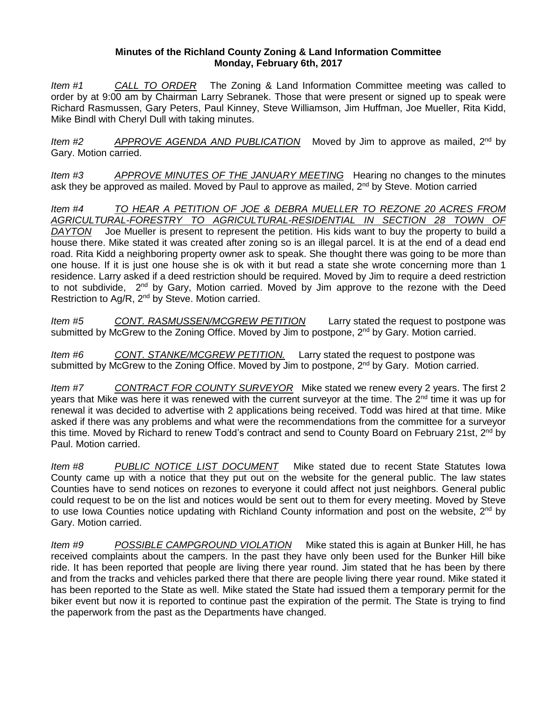## **Minutes of the Richland County Zoning & Land Information Committee Monday, February 6th, 2017**

*Item #1 CALL TO ORDER* The Zoning & Land Information Committee meeting was called to order by at 9:00 am by Chairman Larry Sebranek. Those that were present or signed up to speak were Richard Rasmussen, Gary Peters, Paul Kinney, Steve Williamson, Jim Huffman, Joe Mueller, Rita Kidd, Mike Bindl with Cheryl Dull with taking minutes.

*Item #2 APPROVE AGENDA AND PUBLICATION* Moved by Jim to approve as mailed, 2nd by Gary. Motion carried.

*Item #3 APPROVE MINUTES OF THE JANUARY MEETING* Hearing no changes to the minutes ask they be approved as mailed. Moved by Paul to approve as mailed, 2<sup>nd</sup> by Steve. Motion carried

*Item #4 TO HEAR A PETITION OF JOE & DEBRA MUELLER TO REZONE 20 ACRES FROM AGRICULTURAL-FORESTRY TO AGRICULTURAL-RESIDENTIAL IN SECTION 28 TOWN OF DAYTON* Joe Mueller is present to represent the petition. His kids want to buy the property to build a house there. Mike stated it was created after zoning so is an illegal parcel. It is at the end of a dead end road. Rita Kidd a neighboring property owner ask to speak. She thought there was going to be more than one house. If it is just one house she is ok with it but read a state she wrote concerning more than 1 residence. Larry asked if a deed restriction should be required. Moved by Jim to require a deed restriction to not subdivide, 2<sup>nd</sup> by Gary, Motion carried. Moved by Jim approve to the rezone with the Deed Restriction to Ag/R, 2<sup>nd</sup> by Steve. Motion carried.

*Item #5 CONT. RASMUSSEN/MCGREW PETITION* Larry stated the request to postpone was submitted by McGrew to the Zoning Office. Moved by Jim to postpone, 2<sup>nd</sup> by Gary. Motion carried.

*Item #6 CONT. STANKE/MCGREW PETITION.* Larry stated the request to postpone was submitted by McGrew to the Zoning Office. Moved by Jim to postpone, 2<sup>nd</sup> by Gary. Motion carried.

*Item #7 CONTRACT FOR COUNTY SURVEYOR* Mike stated we renew every 2 years. The first 2 years that Mike was here it was renewed with the current surveyor at the time. The 2<sup>nd</sup> time it was up for renewal it was decided to advertise with 2 applications being received. Todd was hired at that time. Mike asked if there was any problems and what were the recommendations from the committee for a surveyor this time. Moved by Richard to renew Todd's contract and send to County Board on February 21st, 2<sup>nd</sup> by Paul. Motion carried.

*Item #8 PUBLIC NOTICE LIST DOCUMENT* Mike stated due to recent State Statutes Iowa County came up with a notice that they put out on the website for the general public. The law states Counties have to send notices on rezones to everyone it could affect not just neighbors. General public could request to be on the list and notices would be sent out to them for every meeting. Moved by Steve to use Iowa Counties notice updating with Richland County information and post on the website,  $2^{nd}$  by Gary. Motion carried.

*Item #9 POSSIBLE CAMPGROUND VIOLATION* Mike stated this is again at Bunker Hill, he has received complaints about the campers. In the past they have only been used for the Bunker Hill bike ride. It has been reported that people are living there year round. Jim stated that he has been by there and from the tracks and vehicles parked there that there are people living there year round. Mike stated it has been reported to the State as well. Mike stated the State had issued them a temporary permit for the biker event but now it is reported to continue past the expiration of the permit. The State is trying to find the paperwork from the past as the Departments have changed.